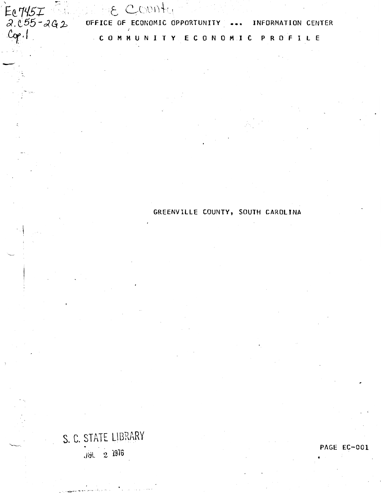$F_{\text{C}}$   $H_{\text{S}}$   $T$   $F_{\text{A}}$  , and the County  $Cop.$ 

-

*de. E. CODITION* C 0 M M U N I T Y E C 0 N 0 M I C P R 0 F I l E

GREENVIllE COUNTY, SOUTH CAROLINA

S.C. STATE UBRARY :mL · 2 1976

PAGE EC-001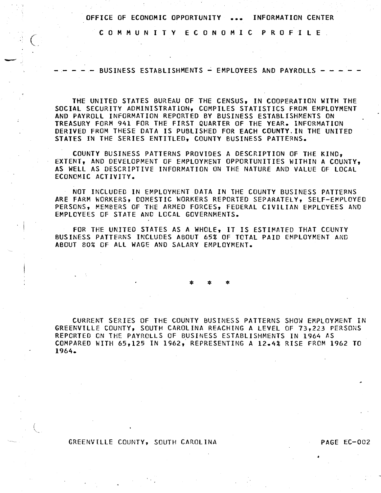C 0 M M U N I T Y E C 0 N 0 M I C P R 0 F 1 l E

 $\big($ 

- BUSINESS ESTABLISHMENTS - EMPLOYEES AND PAYROLLS -  $\cdot$ 

THE UNITED STATES BUREAU OF THE CENSUS, IN COOPERATION WITH THE SOCIAl SECURITY ADMINISTRATION, COMPILES STATISTICS FROM EMPLOYMENT AND PAYROll INFORMATION REPORTED BY BUSINESS ESTABLISHMENTS ON TREASURY FORM 941 FOR THE FIRST QUARTER OF THE YEAR. INFORMATION DERIVED FROM THESE DATA IS PUBLISHED FOR EACH COUNTY.IN THE UNITED STATES IN THE SERIES ENTITLED, COUNTY BUSINESS PATTERNS.

COUNTY BUSINESS PATTERNS PROVIDES A DESCRIPTION OF THE KIND, EXTENT, AND DEVELOPMENT OF EMPLOYMENT OPPORTUNITIES WITHIN A COUNTY, AS WEll AS DESCRIPTIVE INFORMATION ON THE NATURE AND VALUE OF LOCAL ECONOMIC ACTIVITY.

NOT INCLUDED IN EMPLOYMENT DATA IN THE COUNTY BUSINESS PATTERNS ARE FARM WORKERS, DOMESTIC WORKERS REPORTED SEPARATELY, SELF-EMPLOYED PERSONS, MEMBERS OF THE ARMED FORCES, FEDERAL CIVILIAN EMPLOYEES AND EMPLOYEES OF STATE AND LOCAL GOVERNMENTS.

FOR THE UNITED STATES AS A WHOLE, IT IS ESTIMATED THAT COUNTY BUSINESS PATTERNS INCLUDES ABOUT 65% OF TOTAL PAID EMPLOYMENT AND ABOUT 80% OF All WAGE AND SALARY EMPLOYMENT.

\* \* \*

CURRENT SERIES OF THE COUNTY BUSINESS PATTERNS SHOW EMPLOYMENT IN GREENVILLE COUNTY, SOUTH CAROLINA REACHING A LEVEL OF 73,223 PERSONS REPORTED ON THE PAYROLLS OF BUSINESS ESTABLISHMENTS IN 1964 AS COMPARED WITH 65,125 IN 1962,- REPRESENTING A 12.4% RISE FROM 1962 TO 1964.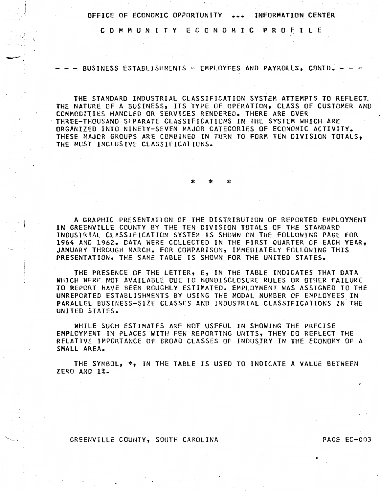C 0 M M U N I T Y E C 0 N 0 M I C P R 0 F I L E

- BUSINESS ESTABLISHMENTS - EMPLOYEES AND PAYROLLS, CONTD.

-

THE STANDARD INDUSTRIAL CLASSIFICATION SYSTEM ATTEMPTS TO REFLECT. THE NATURE OF A BUSINESS, ITS TYPE OF OPERATION, CLASS OF CUSTOMER AND COMMODITIES HANDLED OR SERVICES RENDERED. THERE ARE OVER THREE-THOUSAND SEPARATE CLASSIFICATIONS IN THE SYSTEM WHICH ARE ORGANIZED INTO NINETY-SEVEN MAJOR CATEGORIES OF ECONOMIC ACTIVITY. THESE MAJOR GROUPS ARE COMBINED IN TURN TO FORM TEN DIVISION TOTALS, THE MOST INCLUSIVE CLASSIFICATIONS.

\* \* \*

A GRAPHIC PRESENTATION OF THE DISTRIBUTION OF REPORTED EMPLOYMENT IN GREENVILLE COUNTY BY THE TEN DIVISION TOTALS OF THE STANDARD INDUSTRIAL CLASSIFICATION SYSTEM IS SHOWN ON THE FOLLOWING PAGE FOR 1964 AND 1962. DATA WERE COLLECTED IN THE FIRST QUARTER OF EACH YEAR, . JANUARY THROUGH MARCH. FOR COMPARISON, IMMEDIATELY FOLLOWING THIS PRESENTATION, THE SAME TABLE IS SHOWN FOR THE UNITED STATES.

THE PRESENCE OF THE LETTER, E, IN THE TABLE INDICATES THAT DATA WHICH WERE NOT AVAILABLE DUE TO NONDISCLOSURE RULES OR OTHER FAILURE TO REPORT HAVE BEEN ROUGHLY ESTIMATED. EMPLOYMENT WAS ASSIGNED TO THE UNREPORTED ESTABLISHMENTS BY USING THE MODAL NUMBER OF EMPLOYEES IN PARALLEL BUSINESS-SIZE CLASSES AND INDUSTRIAL CLASSIFICATIONS IN THE UNITED STATES.

WHILE SUCH ESTIMATES ARE NOT USEFUL IN SHOWING THE PRECISE EMPLOYMENT IN PLACES WITH FEW REPORTING UNITS, THEY DO REFLECT THE RELATIVE IMPORTANCE OF BROAO·CLASSES OF INDUSJRY IN THE ECONOMY OF A SMALL AREA.

THE SYMBOL, \*• IN THE TABLE IS USED TO INDICATE A VALUE BETWEEN ZERO AND 1%.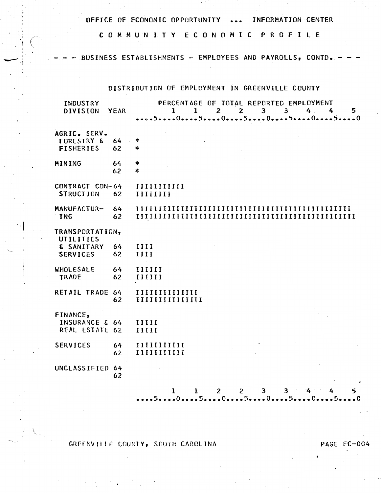C 0 M M U N I T Y E C 0 N 0 M I C P R 0 F I L E

 $-$ 

BUSINESS ESTABLISHMENTS - EMPLOYEES AND PAYROLLS, CONTD.

## DISTRIBUTION OF EMPLOYMENT IN GREENVILLE COUNTY

| INDUSTRY<br><b>DIVISION</b>                               | YEAR           | PERCENTAGE OF TOTAL REPORTED EMPLOYMENT<br>$\mathbf{1}$<br>$\mathbf{2}$<br>$\overline{\mathbf{3}}$<br>$\overline{\mathbf{3}}$<br>4<br>$\mathbf{1}$<br>$\mathbf{2}$<br>4<br>5. |
|-----------------------------------------------------------|----------------|-------------------------------------------------------------------------------------------------------------------------------------------------------------------------------|
| AGRIC. SERV.<br><b>FORESTRY &amp;</b><br><b>FISHERIES</b> | 64<br>62       | ∗<br>*                                                                                                                                                                        |
| MINING                                                    | 64<br>62       | ∗<br>*                                                                                                                                                                        |
| CONTRACT CON-64<br><b>STRUCTION</b>                       | 62             | $\prod \prod \prod \prod \prod \prod$<br>IIIIIIII                                                                                                                             |
| MANUFACTUR-<br><b>ING</b>                                 | 64<br>62       |                                                                                                                                                                               |
| TRANSPORTATION,<br>UTILITIES<br>& SANITARY                | 64             | III                                                                                                                                                                           |
| <b>SERVICES</b><br><b>WHOLESALE</b><br><b>TRADE</b>       | 62<br>64<br>62 | IIII<br>IIIIII<br>IIIIII                                                                                                                                                      |
| RETAIL TRADE 64                                           | 62             | IIIIIIIIIIIIIIII                                                                                                                                                              |
| FINANCE,<br>INSURANCE & 64<br>REAL ESTATE 62              |                | 11111<br>IIIII                                                                                                                                                                |
| <b>SERVICES</b>                                           | 64<br>62       | IIIIIIIIIIII<br>$\begin{tabular}{c} \bf \textbf{III} \end{tabular} \begin{tabular}{c} \bf \textbf{III} \end{tabular}$                                                         |
| UNCLASSIFIED 64                                           | 62             |                                                                                                                                                                               |
|                                                           |                | $\overline{2}$<br>$\overline{2}$<br>$3 -$<br>3.<br>5<br>1<br>$\mathbf{1}$<br>$\mathbf{z}$                                                                                     |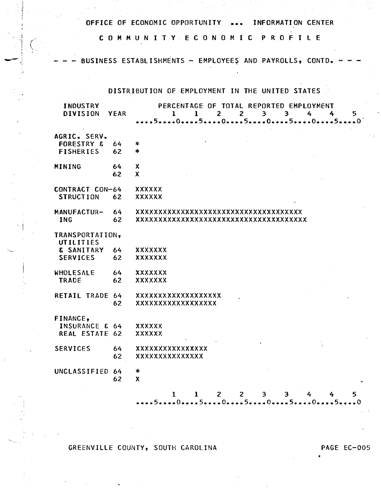C 0 M M U N I T Y E C 0 N 0 M I C P R 0 F I L E

. j

 $\cdot$   $\cdot$ 

~

 $\frac{1}{4}$   $\rightarrow$   $\rightarrow$ ' '

BUSINESS ESTABLISHMENTS -- EMPLOYEES AND PAYROLLS, CONTD.

DISTRIBUTION OF EMPLOYMENT IN THE UNITED STATES

| <b>INDUSTRY</b><br><b>DIVISION</b>                        | <b>YEAR</b> | PERCENTAGE OF TOTAL REPORTED EMPLOYMENT<br>2 <sup>1</sup><br>$\overline{\mathbf{3}}$<br>$\mathbf{1}$<br>$2^{\circ}$<br>$\overline{\mathbf{3}}$<br>4<br>1<br>4<br>5 <sup>1</sup> |
|-----------------------------------------------------------|-------------|---------------------------------------------------------------------------------------------------------------------------------------------------------------------------------|
| AGRIC. SERV.<br><b>FORESTRY &amp;</b><br><b>FISHERIES</b> | 64<br>62    | *<br>*                                                                                                                                                                          |
| MINING                                                    | 64<br>62    | X<br>$\boldsymbol{\mathsf{x}}$                                                                                                                                                  |
| CONTRACT CON-64<br><b>STRUCTION</b>                       | 62          | <b>XXXXXX</b><br><b>XXXXXX</b>                                                                                                                                                  |
| MANUFACTUR-<br><b>ING</b>                                 | 64<br>62    | xxxxxxxxxxxxxxxxxxxxxxxxxxxxxxxxxx<br>xxxxxxxxxxxxxxxxxxxxxxxxxxxxxxxxxx                                                                                                        |
| TRANSPORTATION,<br>UTILITIES<br>& SANITARY                | 64          | <b>XXXXXXX</b>                                                                                                                                                                  |
| <b>SERVICES</b>                                           | 62          | XXXXXXX                                                                                                                                                                         |
| WHOLESALE<br><b>TRADE</b>                                 | 64<br>62    | <b>XXXXXXX</b><br>XXXXXXX                                                                                                                                                       |
| RETAIL TRADE 64                                           | 62          | <b>XXXXXXXXXXXXXXXXXX</b><br>xxxxxxxxxxxxxxxxx                                                                                                                                  |
| FINANCE,<br><b>INSURANCE &amp; 64</b><br>REAL ESTATE 62   |             | <b>XXXXXX</b><br>XXXXXX                                                                                                                                                         |
| <b>SERVICES</b>                                           | 64<br>62    | <b>XXXXXXXXXXXXXXXX</b><br><b>XXXXXXXXXXXXXX</b>                                                                                                                                |
| UNCLASSIFIED 64                                           | 62          | ∗<br>$\boldsymbol{\mathsf{X}}$                                                                                                                                                  |
|                                                           |             | $\overline{2}$<br>2 <sup>1</sup><br>$\mathbf{1}$<br>$\overline{\mathbf{3}}$<br>3<br>1<br>4<br>5.<br>5.<br>- 0<br>$-0-1$                                                         |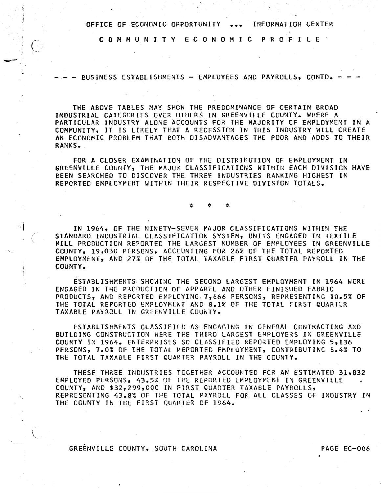C 0 M M U N I T Y E C 0 N 0 M I C P R 0 F I L E .

 $\cdot$   $\cdot$ 

--

.... \_\_\_ --

BUSINESS ESTABLISHMENTS - EMPLOYEES AND PAYROLLS, CONTD.

THE ABOVE TABLES MAY SHOW THE PREDOMINANCE OF CERTAIN BROAD INDUSTRIAL CATEGORIES OVER OTHERS IN GREENVILLE COUNTY. WHERE A . PARTICULAR INDUSTRY ALONE ACCOUNTS FOR THE MAJORITY OF EMPLOYMENT IN A COMMUNITY, IT IS LIKELY THAT A RECESSION IN THIS INDUSTRY WILL CREATE AN ECONOMIC PROBLEM THAT BOTH DISADVANTAGES THE POOR AND ADDS TO THEIR RANKS.

FOR A CLOSER EXAMINATION Of THE DISTRIBUTION OF EMPLOYMENT IN GREENVILLE COUNTY, THE MAJOR CLASSIFICATICNS WITHIN EACH DIVISION HAVE BEEN SEARCHED TO DISCOVER THE THREE INDUSTRIES RANKING HIGHEST IN REPORTED EMPLOYMENT WITHIN THEIR RESPECTIVE DIVISION TOTALS.

\* \* \*

IN 1964, OF THE NINETY-SEVEN MAJOR CLASSIFICATIONS WITHIN THE STANDARD INDUSTRIAL CLASSIFICATION SYSTEM, UNITS ENGAGED IN TEXTILE MILL PRODUCTION REPORTED THE LARGEST NUMBER OF EMPLOYEES IN GREENVILLE COUNTY, 19,030 PERSONS, ACCOUNTING FOR 26% OF THE TOTAL REPORTED EMPlOYMENT, AND 27% OF THE TOTAL TAXABLE FIRST QUARTER PAYROLL IN THE COUNTY.

ESTABLISHMENTS SHOWING THE SECOND LARGEST EMPLOYMENT IN 1964 WERE ENGAGED IN THE PRODUCTION OF APPAREL AND OTHER FINISHED FABRIC PRODUCTS, ANO REPORTED EMPLOYING 7,666 PERSONS, REPRESENTING 10.5% OF THE TOTAL REPORTED EMPLOYMENT AND 8.1% OF THE TOTAL FIRST QUARTER TAXABLE PAYROLL IN GREENVILLE COUNTY.

ESTABLISHMENTS CLASSIFIED AS ENGAGING IN GENERAL CONTRACTING AND BUILDING CONSTRUCTION WERE THE THIRD LARGEST EMPLOYERS IN GREENVILLE COUNTY IN 1964. ENTERPRISES SO CLASSIFIED REPORTED EMPLOYING 5,136 PERSONS, 7.0% OF THE TOTAL REPORTED EMPLOYMENT, CONTRIBUTING 8.4% TO THE TOTAL TAXABLE FIRST QUARTER PAYROLL IN THE COUNTY.

THESE THREE INDUSTRIES TOGETHER ACCOUNTED FOR AN ESTIMATED 31,832 EMPLOYED PERSONS, 43.5% OF THE REPORTED EMPLOYMENT IN GREENVIllE COUNTY, AND \$32,299,000 IN FIRST CUARTER TAXABLE PAYROLLS, REPRESENTING 43.8% OF THE TOTAL PAYROLL FOR All CLASSES CF INDUSTRY IN THE COUNTY IN THE FIRST QUARTER OF 1964.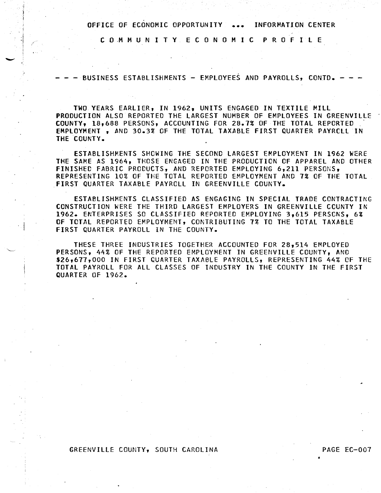C 0 .M M U N I T Y E C 0 N 0 M I C P R 0 F I l E

-

 $\mathbf{I}$ 

- BUSINESS ESTABLISHMENTS - EMPLOYEES AND PAYROLLS, CONTD.

TWO YEARS EARLIER, IN 1962, UNITS ENGAGED IN TEXTILE Mill PRODUCTION ALSO REPORTED THE LARGEST NUMBER OF EMPLOYEES IN GREENVIllE COUNTY, 18,688 PERSONS, ACCOUNTING FOR 28.7% OF THE TOTAL REPORTED EMPLOYMENT , AND 30.3% OF THE TOTAL TAXABLE FIRST QUARTER PAYRCLL IN THE COUNTY.

ESTABLISHMENTS SHOWING THE SECOND LARGEST EMPLOYMENT IN 1962 WERE THE SAME AS 1964, THOSE ENGAGED IN THE PRODUCTION OF APPAREL AND OTHER FINISHED FABRIC PRODUCTS, AND REPORTED EMPLOYING 6,211 PERSONS. REPRESENTING 10% OF THE TOTAL REPORTED EMPLOYMENT AND 7% OF THE TOTAL FIRST QUARTER TAXABLE PAYROLL IN GREENVILLE COUNTY.

ESTABLISHMENTS CLASSIFIED AS ENGAGING IN SPECIAL TRADE CONTRACTING CONSTRUCTION WERE THE THIRD LARGEST EMPLOYERS IN GREENVILLE CCUNTY IN 1962. ENTERPRISES SO CLASSIFIED REPORTED EMPLOYING 3,615 PERSCNS, 6% OF TOTAL REPORTED EMPLOYMENT, CONTRIBUTING 7% TO THE TOTAL TAXABLE FIRST QUARTER PAYROLL IN THE COUNTY.

THESE THREE INDUSTRIES TOGETHER ACCOUNTED FOR 28,514 EMPLOYED PERSONS, 44% OF THE REPORTED EMPLOYMENT IN GREENVILLE COUNTY, AND \$26,677,000 IN FIRST QUARTER TAXABLE PAYROLLS, REPRESENTING 44% OF THE TOTAL PAYROLL FOR ALL CLASSES OF INDUSTRY IN THE COUNTY IN THE FIRST QUARTER OF 1962.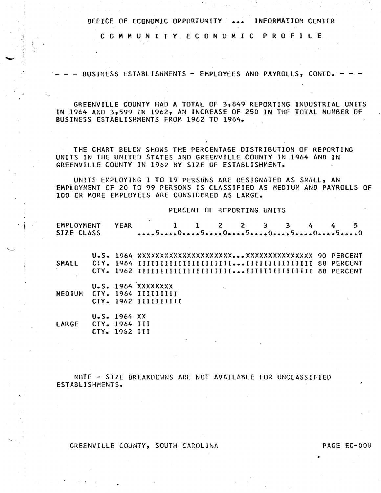C 0 M M U N I T Y E C 0 N 0 M I C P R 0 F I L E

BUSINESS ESTABLISHMENTS -- EMPLOYEES AND PAYROLLS, CONTD. -

GREENVILLE COUNTY HAD A TOTAL OF 3,849 REPORTING INDUSTRIAL UNITS IN 1964 AND 3,599 IN 1962, AN INCREASE OF 250 IN THE TOTAL NUMBER OF BUSINESS ESTABLISHMENTS FROM 1962 TO 1964.

THE CHART BELOW SHOWS THE PERCENTAGE DISTRIBUTION OF REPORTING UNITS IN THE UNITED STATES AND GREENVILLE COUNTY IN 1964 AND IN GREENVILLE. COUNTY IN 1962 BY SIZE OF ESTABLISHMENT.

UNITS EMPLOYING 1 TO 19 PERSONS ARE DESIGNATED AS SMALL, AN ·EMPLOYMENT OF 20 TO 99 PERSONS IS CLASSIFIED AS MEDIUM AND PAYROLLS OF 100 DR MORE EMPLOYEES ARE CONSIDERED AS LARGE.

PERCENT OF REPORTING UNITS

| EMPLOYMENT<br>SIZE CLASS |                     | YEAR                                        |  |  | 1 1 2 2 3 3 4 |  |  | 5<br>505050505 |  |
|--------------------------|---------------------|---------------------------------------------|--|--|---------------|--|--|----------------|--|
| <b>SMALL</b>             |                     |                                             |  |  |               |  |  |                |  |
| <b>MEDIUM</b>            | CTY. 1964 IIIIIIIII | U.S. 1964 XXXXXXXX<br>CTY. 1962 IIIIIIIIIII |  |  |               |  |  |                |  |
| LARGE                    | CTY. 1954 III       | $U-S. 1964 XX$<br>CTY. 1962 III             |  |  |               |  |  |                |  |

NOTE - SIZE BREAKDOWNS ARE NOT AVAILABLE FOR UNCLASSIFIED ESTABLISHMENTS.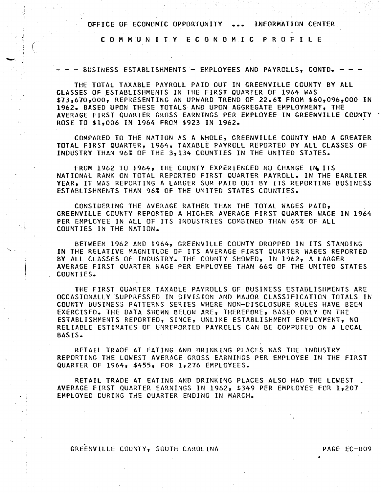C 0 M M U N I T Y E C 0 N 0 M I C P R 0 F I L E

*(* 

- - - BUSINESS ESTABLISHMENTS - EMPLOYEES AND PAYROLLS, CONTD. -

THE TOTAL TAXABLE PAYROLL PAID OUT IN GREENVILLE COUNTY BY All CLASSES OF ESTABLISHMENTS IN THE FIRST QUARTER OF 1964 WAS \$73 <sup>1</sup> 670,000, REPRESENTING AN UPWARD TREND OF 22.6% FROM \$60,096,000 IN 1962. BASED UPON THESE TOTALS AND UPON AGGREGATE EMPLOYMENT, THE AVERAGE FIRST QUARTER GROSS EARNINGS PER EMPLOYEE IN GREENVILLE COUNTY ROSE TO \$1,006 IN 1964 FROM \$923 IN 1962.

COMPARED TO THE NATION AS A WHOLE, GREENVILLE COUNTY HAD A GREATER TOTAL FIRST QUARTER, 1964, TAXABLE PAYROLL REPORTED BY All CLASSES OF INDUSTRY THAN 96% OF THE 3,134 COUNTIES IN THE UNITED STATES.

FROM 1962 TO 1964, THE COUNTY EXPERIENCED NO CHANGE IN ITS NATIONAL RANK ON TOTAL REPORTED FIRST QUARTER PAYROLL. IN THE EARLIER YEAR, IT WAS REPORTING A LARGER SUM PAID OUT BY ITS REPORTING BUSINESS ESTABLISHMENTS THAN 96% OF THE UNITED STATES COUNTIES.

CONSIDERING THE AVERAGE RATHER THAN THE TOTAL WAGES PAID, GREENVILLE COUNTY REPORTED A HIGHER AVERAGE FIRST QUARTER WAGE IN 1964 PER EMPLOYEE IN ALL OF ITS INDUSTRIES COMBINED THAN 65% OF ALL COUNTIES IN THE NATION.

BETWEEN 1962 AND 1964, GREENVILLE COUNTY DROPPED IN ITS STANDING IN THE RELATIVE MAGNITUDE OF ITS AVERAGE FIRST QUARTER WAGES REPORTED BY ALL CLASSES OF INDUSTRY. THE COUNTY SHOWED, IN 1962, A LARGER AVERAGE FIRST QUARTER WAGE PER EMPLOYEE THAN 66% OF THE UNITED STATES COUNTIES.

THE FIRST QUARTER TAXABLE PAYROLLS OF BUSINESS ESTABLISHMENTS ARE OCCASIONALLY SUPPRESSED IN DIVISION AND MAJOR CLASSIFICATION TOTALS IN COUNTY BUSINESS PATTERNS SERIES WHERE NON-DISCLOSURE RULES HAVE BEEN EXERCISED. THE DATA SHOWN BELOW ARE, THEREFORE, BASED ONLY ON THE ESTABLISHMENTS REPORTED, SINCE, UNLIKE ESTABLISHMENT EMPLOYMENT, NO RELIABLE ESTIMATES OF UNREPORTED PAYROLLS CAN BE COMPUTED ON A LOCAL BASIS.

RETAIL TRADE AT EATING AND DRINKING PLACES WAS THE INDUSTRY REPORTING THE LOWEST AVERAGE GROSS EARNINGS PER EMPLOYEE IN THE FIRST QUARTER OF 1964, \$455, FOR 1,276 EMPLOYEES.

RETAIL TRADE AT EATING AND DRINKING PLACES ALSO HAD THE LOWEST AVERAGE FIRST QUARTER EARNINGS IN 1962, \$349 PER EMPLOYEE FOR 1,207 EMPLOYED DURING THE QUARTER ENDING IN MARCH.

.<br>1. . . . **.** GREENVILLE COUNTY, SOUTH CAROLINA PAGE EC-009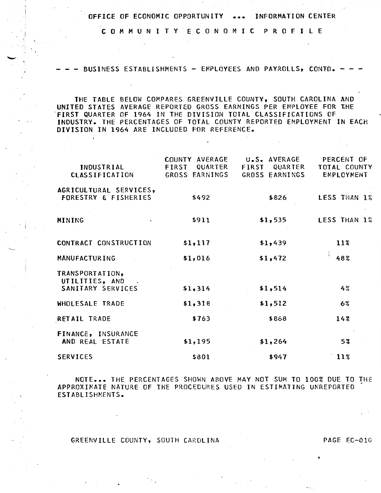C 0 M M U N I T Y E C 0 N 0 M l C P R 0 F I L E

BUSINESS ESTABLISHMENTS - EMPLOYEES AND PAYROLLS, CONTD. -

. ··i

THE TABLE BELOW COMPARES GREENVILLE COUNTY, SOUTH CAROLINA AND UNITED STATES AVERAGE REPORTED GROSS EARNINGS PER EMPLOYEE FOR THE .FIRST QUARTER OF 1964 IN THE DIVISION TOTAL CLASSIFICATIONS OF INDUSTRY. THE PERCENTAGES OF TOTAL COUNTY REPORTED EMPLOYMENT IN EACH DIVISION IN 1964 ARE INCLUDED FOR REFERENCE.

| INDUSTRIAL<br><b>CLASSIFICATION</b>                       | COUNTY AVERAGE<br>QUARTER<br>FIRST<br>GROSS EARNINGS | U.S. AVERAGE<br>FIRST QUARTER<br>GROSS EARNINGS | PERCENT OF<br>TOTAL COUNTY<br>EMPLOYMENT |  |  |
|-----------------------------------------------------------|------------------------------------------------------|-------------------------------------------------|------------------------------------------|--|--|
| AGRICULTURAL SERVICES,<br><b>FORESTRY &amp; FISHERIES</b> | \$492                                                | \$826                                           | LESS THAN 1%                             |  |  |
| MINING                                                    | \$911                                                | \$1,535                                         | LESS THAN 1%                             |  |  |
| CONTRACT CONSTRUCTION                                     | \$1,117                                              | \$1,439                                         | 11%                                      |  |  |
| <b>MANUFACTURING</b>                                      | \$1,016                                              | \$1,472                                         | 48%                                      |  |  |
| TRANSPORTATION,<br>UTILITIES, AND<br>SANITARY SERVICES    | \$1,314                                              | \$1,514                                         | 4%                                       |  |  |
| WHOLESALE TRADE                                           | \$1,318                                              | \$1,512                                         | -6%                                      |  |  |
| RETAIL TRADE                                              | \$763                                                | \$868                                           | 14%                                      |  |  |
| FINANCE, INSURANCE<br>AND REAL ESTATE                     | \$1,195                                              | \$1,264                                         | 5%                                       |  |  |
| <b>SERVICES</b>                                           | \$801                                                | \$947                                           | 113                                      |  |  |

NOTE ••• THE PERCENTAGES SHOWN ABOVE MAY NOT SUM TO 100% DUE TO THE APPROXIMATE NATURE OF THE PROCEDURES USED IN ESTIMATING UNREPORTED ESTABLISHMENTS.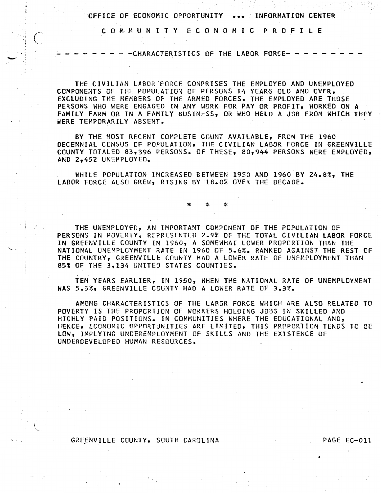C 0 M M U N I T Y E C 0 N 0 M 1 C P R 0 F I L E

 $\left(\frac{1}{2}\right)$ 

'·-

- - CHARACTERISTICS OF THE LABOR FORCE- -

THE CIVILIAN LABOR FORCE COMPRISES THE EMPLOYED AND UNEMPLOYED COMPONENTS OF THE POPULATION OF PERSONS 14 YEARS OLD AND OVER, EXCLUDING THE MEMBERS OF THE ARMED FORCES. THE EMPLOYED ARE THOSE PERSONS WHO WERE ENGAGED IN ANY WORK FOR PAY OR PROFIT, WORKED ON A FAMILY FARM OR IN A FAMILY BUSINESS, OR WHO HELD A JOB FROM WHICH THEY WERE TEMPORARILY ABSENT.

BY THE MOST RECENT COMPLETE COUNT AVAILABLE, FROM THE 1960 DECENNIAL CENSUS OF POPULATION, THE CIVILIAN LABOR FORCE IN GREENVILLE COUNTY TOTALED 83,396 PERSONS. OF THESE, 80,944 PERSONS WERE EMPLOYED, AND 2,452 UNEMPLOYED.

WHILE POPULATION INCREASED BETWEEN 1950 AND 1960 BY 24.8%, THE LABOR FORCE ALSO GREW, RISING BY 18.0% OVER THE DECADE.

\* \* \*

THE UNEMPLOYED, AN IMPORTANT COMPONENT OF THE POPULATION OF PERSONS IN POVERTY, REPRESENTED 2.9% OF THE TOTAL CIVILIAN LABOR FORCE IN GREENVILLE COUNTY IN 1960, A SOMEWHAT LOWER PROPORTION THAN THE NATIONAL UNEMPLOYMENT RATE IN 1960 OF 5.6%. RANKED AGAINST THE REST CF THE COUNTRY, GREENVILLE COUNTY HAD A LOWER RATE OF UNEMPLOYMENT THAN 85% OF THE 3,134 UNITED STATES COUNTIES.

TEN YEARS EARLIER, IN 1950, WHEN THE NATIONAL RATE OF UNEMPLOYMENT WAS 5.3%, GREENVILLE COUNTY HAD A LOWER RATE OF 3.3%.

AMONG CHARACTERISTICS OF THE LABOR FORCE WHICH ARE ALSO RELATED TO POVERTY IS THE PROPORTION OF WORKERS HOLDING JOBS IN SKILLED AND HIGHLY PAID POSITIONS. IN COMMUNITIES WHERE THE EDUCATIONAL AND, HENCE, ECONOMIC OPPORTUNITIES ARE LIMITED, THIS PROPORTION TENDS TO BE LOW, IMPLYING UNDEREMPLOYMENT OF SKILLS AND THE EXISTENCE OF UNDERDEVELOPED HUMAN RESOURCES.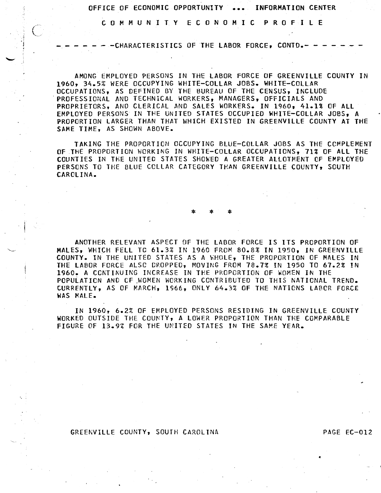C 0 M M U N I T Y E C 0 N 0 M I C P R 0 F I L E

 $\left( \begin{array}{c} \cdot \end{array} \right)$ 

- - CHARACTERISTICS OF THE LABOR FORCE, CONTD.- -

AMONG EMPLOYED PERSONS IN THE LABOR FORCE OF GREENVILLE COUNTY IN 1960, 34.5% WERE OCCUPYING WHITE-COLLAR JOBS. WHITE-COLLAR OCCUPATIONS, AS DEFINED BY THE BUREAU OF THE CENSUS, INCLUDE PROFESSIONAL AND TECHNICAL WORKERS, MANAGERS, OFFICIALS AND PROPRIETORS, AND CLERICAL AND SALES WORKERS. IN 1960, 41.1% OF ALL EMPlOYED PERSONS IN THE UNITED STATES OCCUPIED WHITE-COLLAR JOBS, A PROPORTION LARGER THAN THAT WHICH EXISTED IN GREENVILLE COUNTY AT THE SAME TIME, AS SHOWN ABOVE.

TAKING THE PROPORTION OCCUPYING BlUE-COllAR JOBS AS THE COMPlEMENT OF THE PROPORTION WORKING IN WHITE-COLLAR OCCUPATIONS, 71% OF ALL THE COUNTIES IN THE UNITED STATES SHOWED A GREATER AllOTMENT Of EMPLOYED PERSONS TO THE BLUE COLLAR CATEGORY THAN GREENVILLE COUNTY, SOUTH CAROLINA.

\* \* \*

ANOTHER RELEVANT ASPECT OF THE LABOR FORCE IS ITS PROPORTION OF MALES, WHICH FELL TO 61.3% IN 1960 FROM 80.8% IN 1950, IN GREENVILLE COUNTY. IN THE UNITED STATES AS A WHOLE, THE PROPORTION OF MALES IN THE lABOR FORCE ALSC CROPPED, MOVING FROM 78.7% IN 1950 TO 67.2% IN 1960. A CONTINUING INCREASE IN THE PROPORTION OF WOMEN IN THE POPULATION AND OF WOMEN WORKING CONTRIBUTED TO THIS NATIONAL TREND. CURRENTlY, AS OF MARCH, 1966, ONLY 64.3% OF THE NATIONS LABCR FORCE WAS MALE.

IN 1960, 6.2% OF EMPLOYED PERSONS RESIDING IN GREENVIllE COUNTY WORKED OUTSIDE THE COUNTY, A LOWER PROPORTION THAN THE COMPARABLE FIGURE OF 13.9% FOR THE UNITED STATES IN THE SAME YEAR.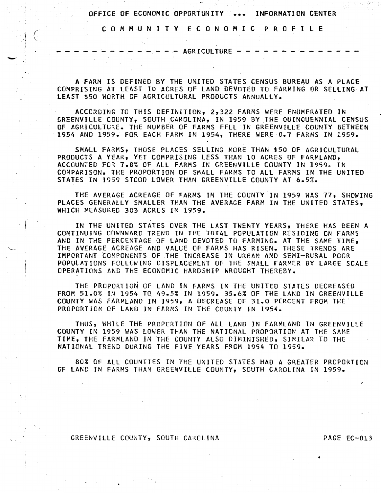C 0 M M U N I T Y E C 0 N 0 M I C P R 0 F I L E

 $-$  AGRICULTURE  $-$ 

 $\frac{1}{2}$  .  $\frac{1}{2}$ 

-

A FARM IS DEFINED BY THE UNITED STATES CENSUS BUREAU AS A PLACE COMPRISING AT LEAST 10 ACRES OF LAND DEVOTED TO FARMING OR SELLING AT LEAST \$50 WORTH OF AGRICULTURAL PRODUCTS ANNUALLY.

ACCORDING TO THIS DEFINITION, 2,322 FARMS WERE ENUMERATED IN GREENVILLE COUNTY, SOUTH CAROLINA, IN 1959 BY THE QUINQUENNIAL CENSUS OF AGRICULTURE. THE NUMBER OF FARMS FELL IN GREENVILLE COUNTY BETWEEN 1954 AND 1959. FOR EACH FARM IN 1954, THERE WERE 0.7 FARMS IN 1959.

SMALL FARMS, THOSE PLACES SELLING MORE THAN \$50 OF AGRICULTURAL PRODUCTS A YEAR, YET COMPRISING LESS THAN 10 ACRES OF FARMLAND, ACCOUNTED FOR 7.8% OF All FARMS IN GREENVILLE COUNTY IN 1959. IN COMPARISON, THE PROPORTION OF SMALL FARMS TO All FARMS IN THE UNITED STATES IN 1959 STCOO LOWER THAN GREENVILLE COUNTY AT 6.5%.

THE AVERAGE ACREAGE OF FARMS IN THE COUNTY IN 1959 WAS *11,* SHOWING PLACES GENERALLY SMALLER THAN THE AVERAGE FARM IN THE UNITED STATES, WHICH MEASURED 303 ACRES IN 1959.

IN THE UNITED STATES OVER THE LAST TWENTY YEARS, THERE HAS BEEN *A*  CONTINUING DOWNWARD TREND IN THE TOTAL POPULATION RESIDING ON FARMS AND IN THE PERCENTAGE OF LAND DEVOTED TO FARMING. AT THE SAME TIME, THE AVERAGE ACREAGE AND VALUE OF FARMS HAS RISEN. THESE TRENDS ARE IMPORTANT COMPONENTS OF THE INCREASE IN URBAN AND SEMI-RURAL POOR POPULATIONS FOLLOWING DISPLACEMENT OF THE SMALL FARMER BY LARGE SCALE OPERATIONS AND THE ECONOMIC HARDSHIP WROUGHT THEREBY.

THE PROPORTION OF LAND IN FARMS IN THE UNITED STATES DECREASED FROM 51.0% IN 1954 TO 49.5% IN 1959. 35.6% OF THE LAND IN GREENVILLE COUNTY WAS FARMLAND IN 1959, A DECREASE OF 31.0 PERCENT FROM THE. PROPORTION OF LAND IN FARMS IN THE COUNTY IN 1954.

THUS, WHILE THE PROPORTION OF ALL LAND IN FARMLAND IN GREENVILLE COUNTY IN 1959 WAS LOWER THAN THE NATIONAL PROPORTION AT THE SAME TIME, THE FARMLAND IN THE COUNTY ALSO DIMINISHED, SIMILAR TO THE NATIONAL TREND DURING THE FIVE YEARS FRCM 1954 TO 1959.

80% OF All COUNTIES IN THE UNITED STATES HAD *A* GREATER PROPORTION OF LAND IN FARMS THAN GREENVILLE COUNTY, SOUTH CAROLINA IN 1959.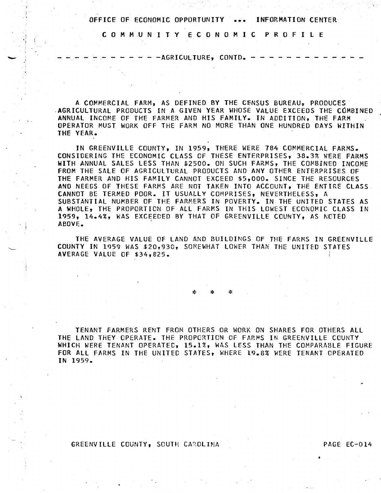C 0 M M U N I T Y E C 0 N 0 M I C P R 0 F I l E

 $-$  -AGRICULTURE, CONTD.  $-$ 

A COMMERCIAl FARM, AS DEFINED BY THE CENSUS BUREAU, PRODUCES .AGRICUlTURAl PRODUCTS IN A GIVEN YEAR WHOSE VALUE EXCEEDS THE COMBINED ANNUAl INCOME OF THE FARMER AND HIS FAMILY. IN ADDITION, THE FARM OPERATOR MUST WORK OFF THE FARM NO MORE THAN ONE HUNDRED DAYS WITHIN THE YEAR. .

IN GREENVILLE COUNTY, IN 1959, THERE WERE 784 COMMERCIAL FARMS. CONSIDERING THE ECONOMIC CLASS OF THESE ENTERPRISES, 38.3% WERE FARMS WITH ANNUAL SALES LESS THAN \$2500. ON SUCH FARMS, THE COMBINED INCOME FROM THE SALE OF AGRICULTURAl PRODUCTS AND ANY OTHER ENTERPRISES OF THE FARMER AND HIS FAMILY CANNOT EXCEED \$5,000. SINCE THE RESOURCES AND NEEDS OF THESE FARMS ARE NOT TAKEN INTO ACCOUNT, THE ENTIRE CLASS CANNOT BE TERMED POOR. IT USUALLY COMPRISES, NEVERTHELESS, A SUBSTANTIAL NUMBER OF THE FARMERS IN POVERTY. IN THE UNITED STATES AS A WHOLE, THE PROPORTION OF ALL FARMS IN THIS LOWEST ECONOMIC CLASS IN 1959, 14.4%, WAS EXCEEDED BY THAT OF GREENVILLE COUNTY, AS NCTED ABOVE. ,

THE AVERAGE VALUE OF LAND AND BUILDINGS OF THE FARMS IN GREENVILLE COUNTY IN 1959 WAS \$20,930, SOMEWHAT LOWER THAN THE UNITED STATES AVERAGE VALUE OF \$34,825.

\* \* \*

TENANT FARMERS RENT FROM OTHERS OR WORK ON SHARES FOR OTHERS All THE lAND THEY OPERATE. THE PROPORTION Of FARMS IN GREENVILLE COUNTY WHICH WERE TENANT OPERATEC, 15.1%, WAS LESS THAN THE COMPARABLE FIGURE FOR ALL FARMS IN THE UNITED STATES, WHERE 19.8% WERE TENANT OPERATED IN 1959.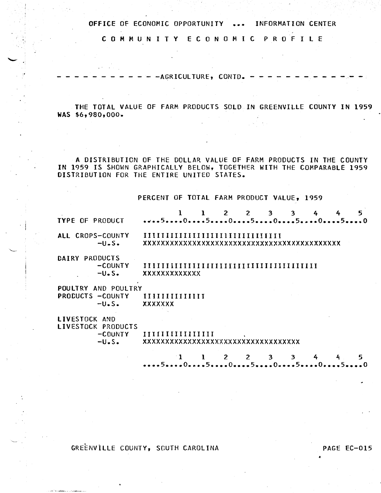C 0 M M U N I T Y E C 0 N 0 M I C P R 0 F I L E

------------AGRICULTURE, CONTD. -------------

THE TOTAL VALUE OF FARM PRODUCTS SOLD IN GREENVILLE COUNTY IN 1959 WAS \$6,980,000.

A DISTRIBUTION OF THE DOLLAR VALUE OF FARM PRODUCTS IN THE COUNTY IN 1959 IS SHOWN GRAPHICALLY BELOW, TOGETHER WITH THE COMPARABLE 1959 DISTRIBUTION FOR THE ENTIRE UNITED STATES.

PERCENT OF TOTAL FARM PRODUCT VALUE, 1959

|                                      |                                 |  | 2 | $\overline{2}$ | 3 | 3 |  | 5 |
|--------------------------------------|---------------------------------|--|---|----------------|---|---|--|---|
| <b>TYPE OF PRODUCT</b>               |                                 |  |   |                |   |   |  |   |
| ALL CROPS-COUNTY<br>$-U\cdot S\cdot$ |                                 |  |   |                |   |   |  |   |
|                                      |                                 |  |   |                |   |   |  |   |
| DAIRY PRODUCTS                       |                                 |  |   |                |   |   |  |   |
| $-COUNTY$                            |                                 |  |   |                |   |   |  |   |
| $-U\bullet S\bullet$                 | <b>XXXXXXXXXXXX</b>             |  |   |                |   |   |  |   |
| POULTRY AND POULTRY                  |                                 |  |   |                |   |   |  |   |
| PRODUCTS -COUNTY                     | IIIIIIIIIIIIII                  |  |   |                |   |   |  |   |
| $-U\cdot S\cdot$                     | <b>XXXXXXX</b>                  |  |   |                |   |   |  |   |
| LIVESTOCK AND                        |                                 |  |   |                |   |   |  |   |
| LIVESTOCK PRODUCTS                   |                                 |  |   |                |   |   |  |   |
| -COUNTY                              |                                 |  |   |                |   |   |  |   |
| $-U\cdot S\cdot$                     | xxxxxxxxxxxxxxxxxxxxxxxxxxxxxxx |  |   |                |   |   |  |   |

1 1 2 *2* 3 3 4 4 5 **•••• 5 •••• o •••• s •••• o •••• s •••• o •••• 5 •••• o •••• s •••• o** 

GREENVILLE COUNTY, SCUTH CAROLINA PAGE EC-015

..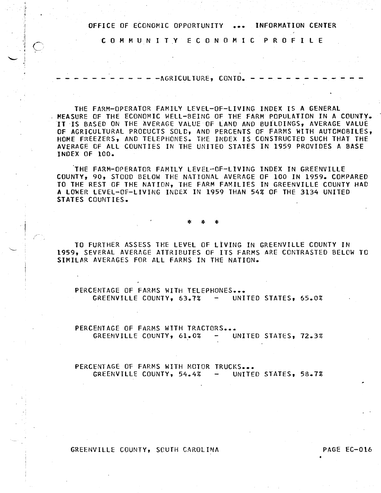C 0 M M U N I T Y E C 0 N 0 M I C P R 0 F I L E

 $- - -$ AGRICULTURE, CONTD.  $- -$ 

j  $\ddot{ }$  j

·i c~

THE FARM-OPERATOR FAMILY LEVEL-OF-LIVING INDEX IS A GENERAL MEASURE OF THE ECONOMIC WELL-BEING OF THE FARM POPULATION IN A COUNTy. IT IS BASED ON THE AVERAGE VALUE OF LAND AND BUILDINGS, AVERAGE VALUE OF AGRICULTURAL PRODUCTS SOLD, AND PERCENTS OF FARMS WITH AUTOMOBILES, HOME FREEZERS, AND TELEPHONES. THE INDEX IS CONSTRUCTED SUCH THAT THE AVERAGE OF All COUNTIES IN THE UNITED STATES IN 1959 PROVIDES A BASE INDEX OF 100.

THE FARM-OPERATOR FAMILY LEVEL-OF-LIVING INDEX IN GREENVILLE COUNTY, 90, STOOD BELOW THE NATIONAL AVERAGE OF 100 IN 1959. COMPARED TO THE REST OF THE NATION, THE FARM FAMILIES IN GREENVILLE COUNTY HAD A LOWER LEVEL-OF-LIVING INDEX IN 1959 THAN 54% OF THE 3134 UNITED STATES COUNTIES.

\* \* \*

TO FURTHER ASSESS THE LEVEL OF LIVING IN GREENVILLE COUNTY IN 1959, SEVERAL AVERAGE ATTRIBUTES OF ITS FARMS ARE CONTRASTED BELCW TO SIMILAR AVERAGES FOR All FARMS IN THE NATION.

PERCENTAGE OF FARMS WITH TELEPHONES... GREENVILLE COUNTY, 63.7% - UNITED STATES, 65.0%

PERCENTAGE OF FARMS WITH TRACTORS... GREENVILLE COUNTY, 61.0% UNITED STATES, 72.3%

PERCENTAGE OF FARMS WITH MOTOR TRUCKS... GREENVILLE COUNTY, 54.4% - UNITED STATES, 58.7%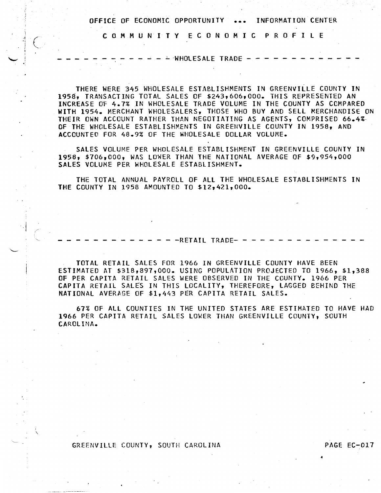C 0 M M U N I T Y E C 0 N 0 M I C P R 0 F I l E

 $\cdot \in$ 

 $\cdot$   $\cdot$ 

I \  $-$  WHOLESALE TRADE  $-$ 

THERE WERE 345 WHOLESALE ESTABLISHMENTS IN GREENVILLE COUNTY IN 1958, TRANSACTING TOTAL SALES OF \$243,606,000. THIS REPRESENTED AN INCREASE OF 4.7% IN WHOLESALE TRADE VOLUME IN THE COUNTY AS COMPARED WITH 1954. MERCHANT WHOLESALERS, THOSE WHO BUY AND SELL MERCHANDISE ON THEIR OWN ACCOUNT RATHER THAN NEGOTIATING AS AGENTS, COMPRISED 66.4%- 0F THE WHOLESALE ESTABLISHMENTS IN GREENVILLE COUNTY IN 1958, AND ACCOUNTED FOR 48.9% OF THE WHOLESALE DOLLAR VOLUME.

SALES VOLUME PER WHOLESALE ESTABLISHMENT IN GREENVILLE COUNTY IN 1958, \$706,000, WAS LOWER THAN THE NATIONAL AVERAGE OF \$9,954,000 SALES VOLUME PER WHOLESALE ESTABLISHMENT.

THE TOTAL ANNUAL PAYROLL OF All THE WHOLESALE ESTABLISHMENTS IN THE COUNTY IN 1958 AMOUNTED TO \$12,421,000.

 $- - RETAIL$  TRADE $- -$ 

TOTAL RETAIL SALES FOR 1966 IN GREENVILLE COUNTY HAVE BEEN ESTIMATED AT \$318,897,000. USING POPULATION PROJECTED TO 1966, \$1,388 OF PER CAPITA RETAIL SALES WERE OBSERVED IN THE COUNTY. 1966 PER CAPITA RETAIL SALES IN THIS LOCALITY, THEREFORE, LAGGED BEHIND THE NATIONAL AVERAGE OF \$1,443 PER CAPITA RETAIL SALES.

67% OF All COUNTIES IN THE UNITED STATES ARE ESTIMATED TO HAVE HAD 1966 PER CAPITA RETAIL SALES LOWER THAN GREENVILLE COUNTY, SOUTH CAROLINA.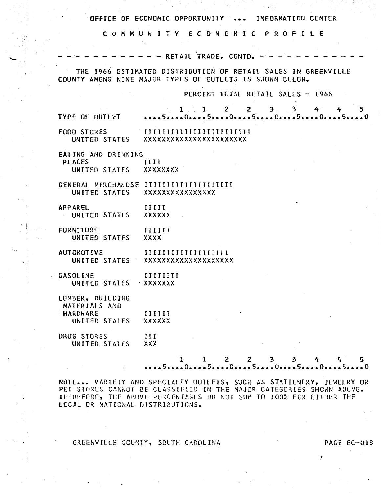C 0 M M U N I T Y E C 0 N 0 M I C P R 0 F I L E

 $-$  - RETAIL TRADE, CONTD.  $-$ 

THE 1966 ESTIMATED DISTRIBUTION OF RETAIL SALES IN GREENVILLE COUNTY AMONG NINE MAJOR TYPES OF OUTLETS IS SHOWN BELOW.

PERCENT TOTAL RETAIL SALES - 1966

| <b>TYPE OF OUTLET</b>                                 | $1 \quad 1 \quad 2 \quad 2$<br>$3 \quad 3 \quad 4$<br>5<br>4<br>50505050050                                         |
|-------------------------------------------------------|---------------------------------------------------------------------------------------------------------------------|
| <b>FOOD STORES</b><br>UNITED STATES                   | xxxxxxxxxxxxxxxxxxxxx                                                                                               |
| EATING AND DRINKING<br><b>PLACES</b><br>UNITED STATES | III<br><b>XXXXXXXX</b>                                                                                              |
| UNITED STATES                                         | GENERAL MERCHANDSE IIIIIIIIIIIIIIIIIIIIII<br><b>XXXXXXXXXXXXXXXX</b>                                                |
| <b>APP AREL</b><br>UNITED STATES                      | IIIII<br><b>XXXXXX</b>                                                                                              |
| <b>FURNITURE</b><br>UNITED STATES                     | 111111<br><b>XXXX</b>                                                                                               |
| <b>AUTOMOTIVE</b>                                     | UNITED STATES XXXXXXXXXXXXXXXXXXXX                                                                                  |
| <b>GASOLINE</b><br>UNITED STATES XXXXXXX              | IIIIIIII                                                                                                            |
| LUMBER, BUILDING<br>MATERIALS AND<br><b>HARDWARE</b>  |                                                                                                                     |
| UNITED STATES                                         | IIIII<br><b>XXXXXX</b>                                                                                              |
| DRUG STORES<br>UNITED STATES                          | 111<br><b>XXX</b>                                                                                                   |
|                                                       | $\mathbf{1}$<br>$\mathbf{2}$<br>$2^{\circ}$<br>$3^{\circ}$<br>$\overline{\mathbf{3}}$<br>4<br>5<br>4<br>50505055050 |

NOTE... VARIETY AND SPECIALTY OUTLETS, SUCH AS STATIONERY, JEWELRY OR PET STORES CANNOT BE CLASSIFIED IN THE MAJOR CATEGORIES SHOWN ABOVE. THEREFORE, THE ABOVE PERCENTLGES DO NOT SUM TO 100% FOR EITHER THE LOCAL OR NATIONAL DISTRIBUTIONS.

GREENVILLE COUNTY, SOUTH CAROLINA PAGE EC-018

 $\cdot$  j .

 $\overline{\phantom{0}}$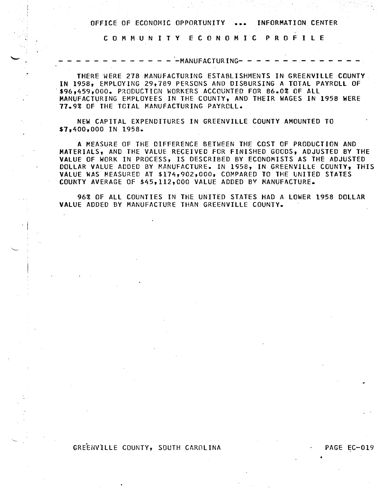C 0 M M U N I T Y E C 0 N 0 M I C P R 0 F I L E

-MANUFACTURING-

THERE WERE 278 MANUFACTURING ESTABLISHMENTS IN GREENVILLE COUNTY IN 1958, EMPLOYING 29,789 PERSONS AND DISBURSING A TOTAL PAYROLL OF .\$96,459,000. P~ODUCTION WORKERS ACCOUNTED FOR 86.0% OF ALL MANUFACTURING EMPLOYEES IN THE COUNTY, AND THEIR WAGES IN 1958 WERE 77.9% OF THE TOTAL MANUFACTURING PAYROLL.

NEW CAPITAL EXPENDITURES IN GREENVILLE COUNTY AMOUNTED TO \$7,400,000 IN 1958.

A MEASURE OF THE DIFFERENCE BETWEEN THE COST OF PRODUCTION AND MATERIALS, AND THE VALUE RECEIVED FOR FINISHED GOODS, ADJUSTED BY THE VALUE OF WORK IN PROCESS, IS DESCRIBED BY ECONOMISTS AS THE ADJUSTED DOLLAR VALUE ADDEO BY MANUFACTURE. IN 1958, IN GREENVILLE COUNTY, THIS VALUE WAS MEASURED AT \$174,902,000, COMPARED TO THE UNITED STATES COUNTY AVERAGE OF \$45,112,000 VALUE ADDED BY MANUFACTURE.

96% OF ALL COUNTIES IN THE UNITED STATES HAD A LOWER 1958 DOLLAR VALUE ADDEO BY MANUFACTURE THAN GREENVILLE COUNTY.

# GREENVILLE COUNTY, SOUTH CAROLINA PAGE EC-019

•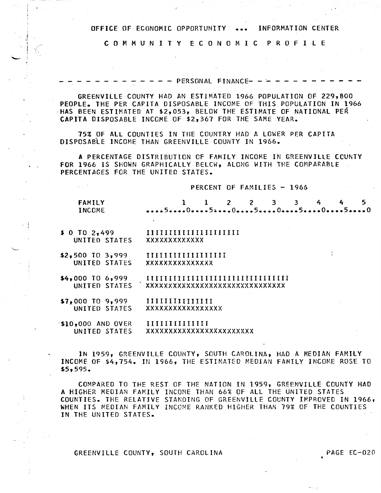C 0 M M U N I T Y E C 0 N 0 M I C P R 0 F I L E

- - - - PERSONAL FINANCE- - -

GREENVILLE COUNTY HAD AN ESTIMATED 1966 POPULATION OF 229,800 PEOPLE. THE PER CAPITA DISPOSABLE INCOME OF THIS POPULATION IN 1966 ·HAS BEEN ESTIMATED AT \$2,053, BELOW THE ESTIMATE OF NATIONAL PER CAPITA DISPOSABLE INCOME OF \$2,367 FOR THE SAME YEAR.

75% OF ALL COUNTIES IN THE COUNTRY HAD A LOWER PER CAPITA DISPOSABLE INCOME THAN GREENVILLE COUNTY IN 1966.

A PERCENTAGE DISTRIBUTION OF FAMILY INCOME IN GREENVIllE CCUNTY FOR 1966 IS SHOWN GRAPHICALLY BELCW, ALONG WITH THE COMPARABLE PERCENTAGES FOR THE UNITED STATES.

## PERCENT OF FAMILIES - 1966

| FAMILY | 1 1 2 2 3 3 4 4 5 |  |  |  |  |
|--------|-------------------|--|--|--|--|
| INCOME |                   |  |  |  |  |

- \$ 0 TO 2,499 UNITED STATES IIIIIIIIIIIIIIIIIIIII xxxxxxxxxxxxx
- \$2,500 TO 3,999 UNITED STATES IIIIIIIIIIIIIIIIII xxxxxxxxxxxxxxx

 $\cdot$  ,  $\frac{1}{\sqrt{2}}$ 

·-

- \$4,000 TO 6,999 UNITED STATES IIIIIIIIIIIIIIIIIIIIIIIIIIIIIIII xxxxxxxxxxxxxxxxxxxxxxxxxxxxxxx
- \$7,000 TO 9,999 UNITED STATES IIIIIIIIIIIIIII xxxxxxxxxxxxxxxxx
- ·\$10,000 AND OVER UNITED STATES IIIIIIIIIIIIII xxxxxxxxxxxxxxxxxxxxxxxx

IN 1959, GREENVILLE COUNTY, SOUTH CAROLINA, HAD A MEDIAN FAMILY INCOME OF \$4,754. IN 1966, THE ESTIMATED MEDIAN FAMILY INCOME ROSE TO \$5,595.

COMPARED TO THE REST OF THE NATION IN 1959, GREENVILLE COUNTY HAD A HIGHER MEDIAN FAMILY INCOME THAN 66% OF All THE UNITED STATES COUNTIES. THE RELATIVE STANDING OF GREENVILLE COUNTY IMPROVED IN 1966, WHEN ITS MEDIAN FAMILY INCCME RANKED HIGHER THAN 79% OF THE COUNTIES IN THE UNITED STATES.